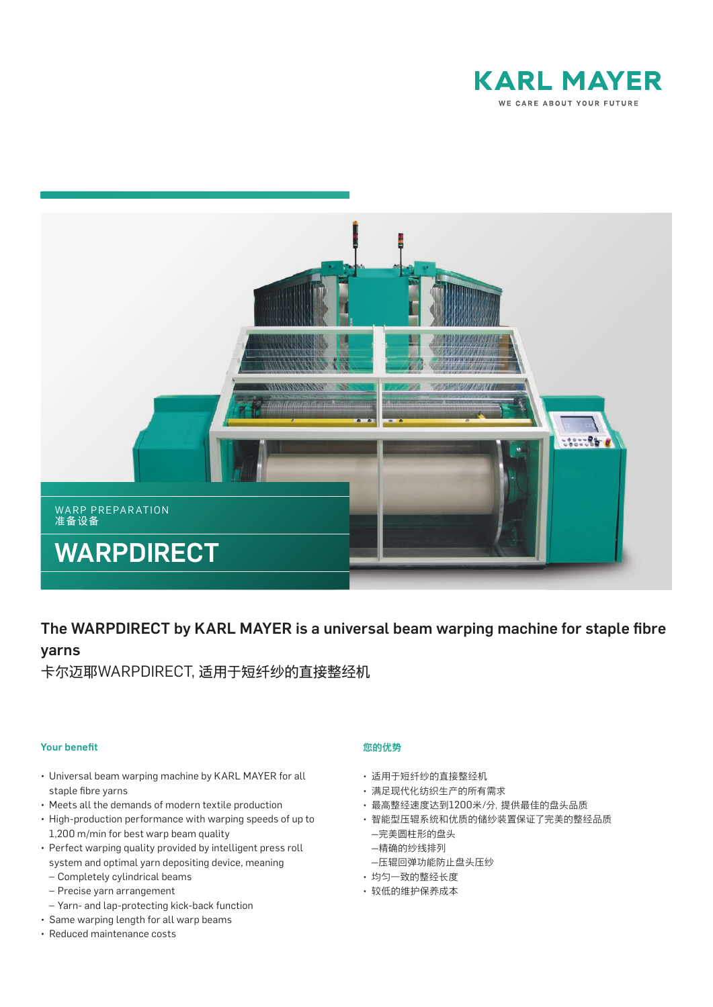



# The WARPDIRECT by KARL MAYER is a universal beam warping machine for staple fibre yarns

卡尔迈耶WARPDIRECT, 适用于短纤纱的直接整经机

# **Your benefit**

- Universal beam warping machine by KARL MAYER for all staple fibre yarns
- Meets all the demands of modern textile production
- High-production performance with warping speeds of up to 1,200 m/min for best warp beam quality
- Perfect warping quality provided by intelligent press roll system and optimal yarn depositing device, meaning
	- *–* Completely cylindrical beams
	- *–* Precise yarn arrangement
	- *–* Yarn- and lap-protecting kick-back function
- Same warping length for all warp beams
- Reduced maintenance costs

# 您的优势

- 适用于短纤纱的直接整经机
- 满足现代化纺织生产的所有需求
- 最高整经速度达到1200米/分,提供最佳的盘头品质
- 智能型压辊系统和优质的储纱装置保证了完美的整经品质 —完美圆柱形的盘头
	- —精确的纱线排列
- —压辊回弹功能防止盘头压纱
- 均匀一致的整经长度
- 较低的维护保养成本